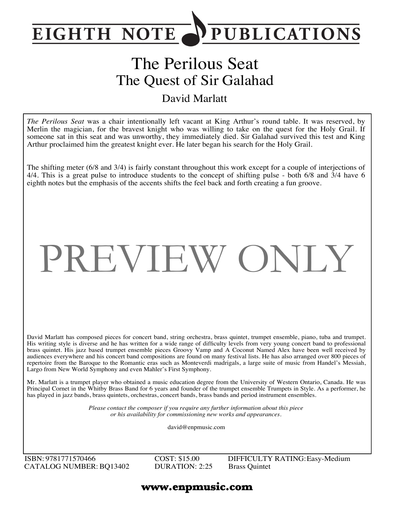### PUBLICATIONS **EIGHTH NOTE**

### The Perilous Seat The Quest of Sir Galahad

### David Marlatt

*The Perilous Seat* was a chair intentionally left vacant at King Arthur's round table. It was reserved, by Merlin the magician, for the bravest knight who was willing to take on the quest for the Holy Grail. If someone sat in this seat and was unworthy, they immediately died. Sir Galahad survived this test and King Arthur proclaimed him the greatest knight ever. He later began his search for the Holy Grail.

The shifting meter (6/8 and 3/4) is fairly constant throughout this work except for a couple of interjections of 4/4. This is a great pulse to introduce students to the concept of shifting pulse - both 6/8 and 3/4 have 6 eighth notes but the emphasis of the accents shifts the feel back and forth creating a fun groove.

## PREVIEW ONLY

David Marlatt has composed pieces for concert band, string orchestra, brass quintet, trumpet ensemble, piano, tuba and trumpet. His writing style is diverse and he has written for a wide range of difficulty levels from very young concert band to professional brass quintet. His jazz based trumpet ensemble pieces Groovy Vamp and A Coconut Named Alex have been well received by audiences everywhere and his concert band compositions are found on many festival lists. He has also arranged over 800 pieces of repertoire from the Baroque to the Romantic eras such as Monteverdi madrigals, a large suite of music from Handel's Messiah, Largo from New World Symphony and even Mahler's First Symphony.

Mr. Marlatt is a trumpet player who obtained a music education degree from the University of Western Ontario, Canada. He was Principal Cornet in the Whitby Brass Band for 6 years and founder of the trumpet ensemble Trumpets in Style. As a performer, he has played in jazz bands, brass quintets, orchestras, concert bands, brass bands and period instrument ensembles.

> *Please contact the composer if you require any further information about this piece or his availability for commissioning new works and appearances.*

> > david@enpmusic.com

ISBN: 9781771570466 CATALOG NUMBER:BQ13402 COST: \$15.00 DURATION: 2:25 DIFFICULTY RATING:Easy-Medium Brass Quintet

### **www.enpmusic.com**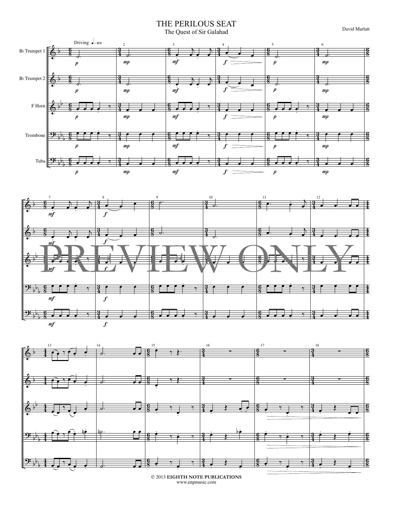#### THE PERILOUS SEAT

The Quest of Sir Galahad David Marlatt







© 2013 **EIGHTH NOTE PUBLICATIONS** www.enpmusic.com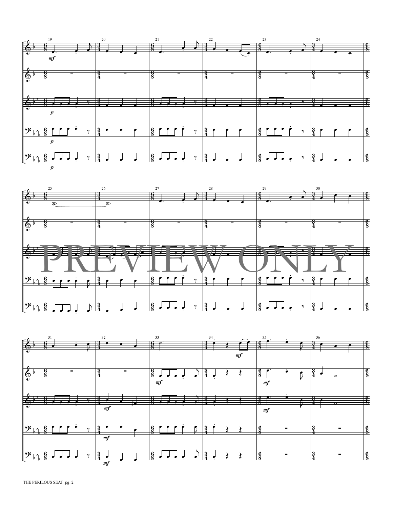



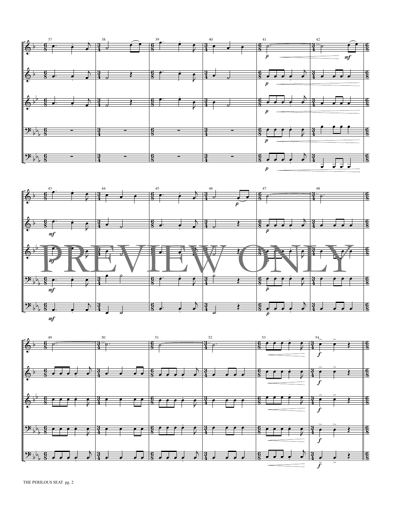



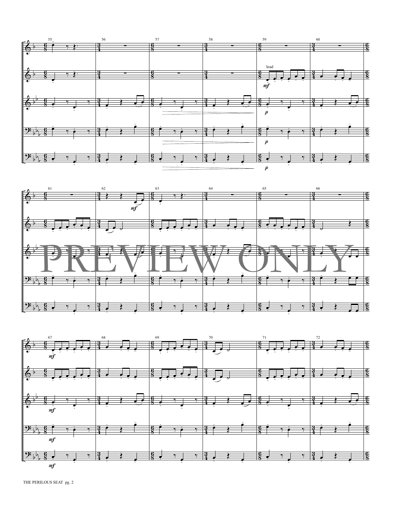





THE PERILOUS SEAT pg. 2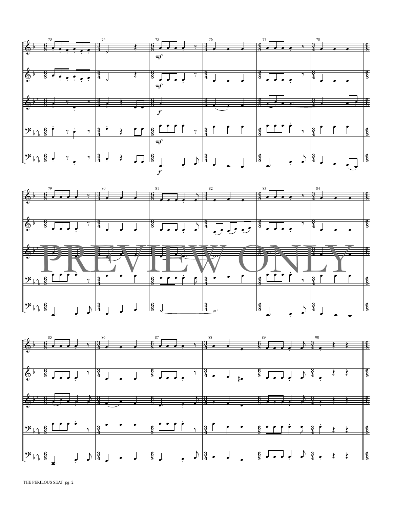



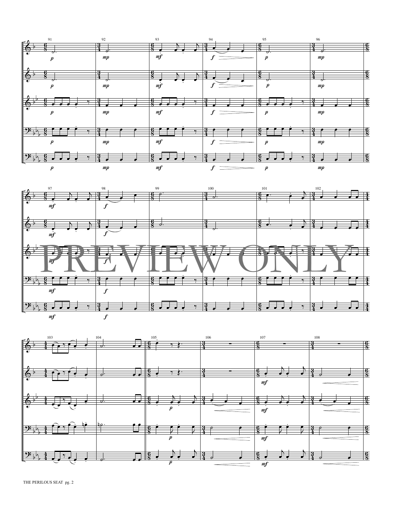